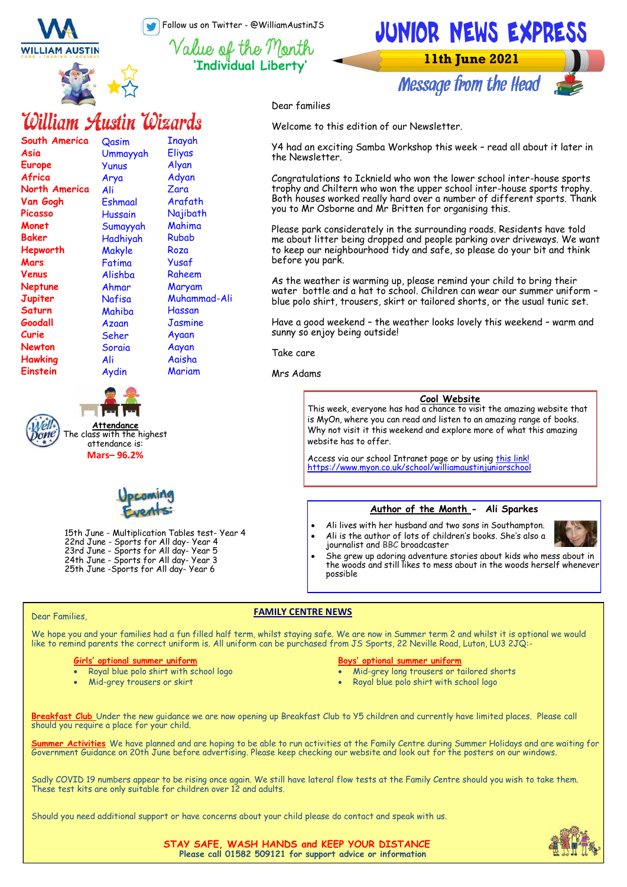Follow us on Twitter - @WilliamAustinJS

**'Individual Liberty'**



**Message from the Head** 

#### Dear families

Welcome to this edition of our Newsletter.

Y4 had an exciting Samba Workshop this week – read all about it later in the Newsletter.

Congratulations to Icknield who won the lower school inter-house sports trophy and Chiltern who won the upper school inter-house sports trophy. Both houses worked really hard over a number of different sports. Thank you to Mr Osborne and Mr Britten for organising this.

Please park considerately in the surrounding roads. Residents have told me about litter being dropped and people parking over driveways. We want to keep our neighbourhood tidy and safe, so please do your bit and think before you park.

As the weather is warming up, please remind your child to bring their water bottle and a hat to school. Children can wear our summer uniform – blue polo shirt, trousers, skirt or tailored shorts, or the usual tunic set.

Have a good weekend – the weather looks lovely this weekend – warm and sunny so enjoy being outside!

Take care

Mrs Adams

#### **Cool Website**

This week, everyone has had a chance to visit the amazing website that is MyOn, where you can read and listen to an amazing range of books. Why not visit it this weekend and explore more of what this amazing website has to offer.

Access via our school Intranet page or by using [this link!](https://www.myon.co.uk/school/williamaustinjuniorschool) <https://www.myon.co.uk/school/williamaustinjuniorschool>

#### **Author of the Month - Ali Sparkes**

- Ali lives with her husband and two sons in Southampton.
- 
- Ali is the author of lots of children's books. She's also a journalist and BBC broadcaster • She grew up adoring adventure stories about kids who mess about in the woods and still likes to mess about in the woods herself whenever possible

#### Dear Families,

#### **FAMILY CENTRE NEWS**

We hope you and your families had a fun filled half term, whilst staying safe. We are now in Summer term 2 and whilst it is optional we would<br>like to remind parents the correct uniform is. All uniform can be purchased from

#### **Girls' optional summer uniform**

• Royal blue polo shirt with school logo

15th June - Multiplication Tables test- Year 4 22nd June - Sports for All day- Year 4 23rd June - Sports for All day- Year 5 24th June - Sports for All day- Year 3 25th June -Sports for All day- Year 6

• Mid-grey trousers or skirt

#### **Boys' optional summer uniform**

- Mid-grey long trousers or tailored shorts
- Royal blue polo shirt with school logo

**Breakfast Club** Under the new guidance we are now opening up Breakfast Club to Y5 children and currently have limited places. Please call should you require a place for your child.

**Summer Activities** We have planned and are hoping to be able to run activities at the Family Centre during Summer Holidays and are waiting for Government Guidance on 20th June before advertising. Please keep checking our website and look out for the posters on our windows.

Sadly COVID 19 numbers appear to be rising once again. We still have lateral flow tests at the Family Centre should you wish to take them. These test kits are only suitable for children over 12 and adults.

Should you need additional support or have concerns about your child please do contact and speak with us.



**STAY SAFE, WASH HANDS and KEEP YOUR DISTANCE Please call 01582 509121 for support advice or information**



**South America**

**North America Van Gogh Picasso Monet Baker Hepworth Mars Venus Neptune Jupiter Saturn Goodall Curie Newton Hawking Einstein** 

**Asia Europe Africa** 



**Attendance**

**Qasim** Ummayyah Yunus Arya Ali Eshmaal Hussain Sumayyah Hadhiyah Makyle Fatima Alishba Ahmar Nafisa Mahiba Azaan Seher Soraia Ali Aydin

William Austin Wizards

Inayah Eliyas Alyan Adyan Zara Arafath Najibath Mahima Rubab Roza Yusaf Raheem Maryam Muhammad-Ali Hassan **Jasmine** Ayaan Aayan Aaisha Mariam

attendance is: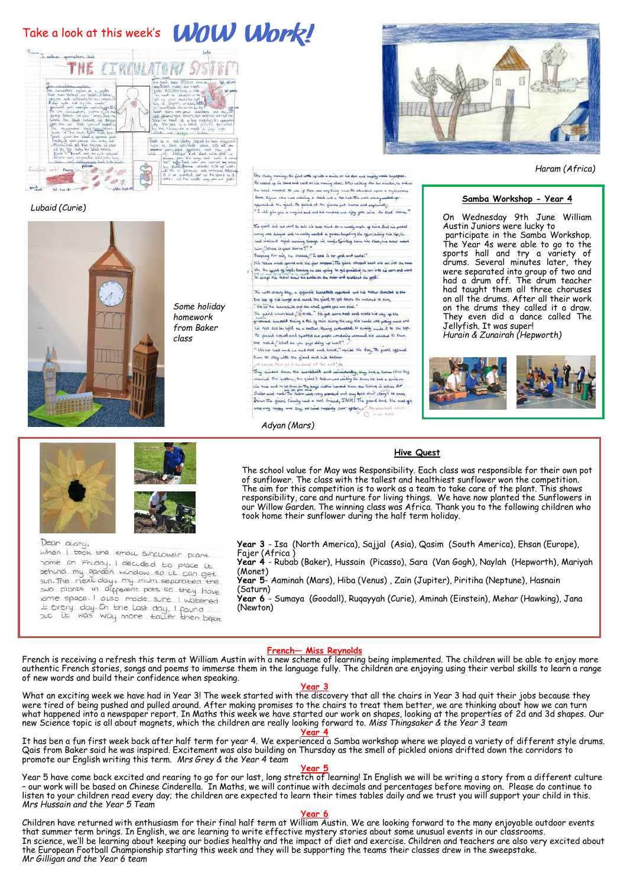### Take a look at this week's **WOW Work!**



*Lubaid (Curie)*



*Some holiday homework from Baker class* 



 *Haram (Africa)*

#### **Samba Workshop - Year 4**

On Wednesday 9th June William Austin Juniors were lucky to participate in the Samba Workshop. The Year 4s were able to go to the sports hall and try a variety of drums. Several minutes later, they were separated into group of two and had a drum off. The drum teacher had taught them all three choruses on all the drums. After all their work on the drums they called it a draw. They even did a dance called The Jellyfish. It was super! *Hurain & Zunairah (Hepworth)*





Dean diary,



when I took the small sunclower plant nome on Friday, I decided to place it some on Friday, I decided to place it<br>sehind my ganden window so it can get<br>sun. The next day, my mum separated the swo plants in different pots so they have some space. I also mode sure I watered some space. I also mode sure I watered<br>Lt every day. On the Last day, I found<br>Sut it was way more taller then before

**Year 3** - Isa (North America), Sajjal (Asia), Qasim (South America), Ehsan (Europe), Fajer (Africa )

**Year 4** - Rubab (Baker), Hussain (Picasso), Sara (Van Gogh), Naylah (Hepworth), Mariyah (Monet)

**Year 5**- Aaminah (Mars), Hiba (Venus) , Zain (Jupiter), Piritiha (Neptune), Hasnain (Saturn)

**Year 6** - Sumaya (Goodall), Ruqayyah (Curie), Aminah (Einstein), Mehar (Hawking), Jana (Newton)

**French— Miss Reynolds**

*Adyan (Mars)*

then to stay with the glant and his father

Stand The glast finally had a seal found, JACK! The gi<br>was rong happy and they all lind hoppily car apter.

Ore chilly mornings the glant write up with a smile or his face and hydry mode knyeps

With Chaing memory's the special with any with in deministration of the deal angle product model experiments.<br>He sealed up his lines and word on the main general details of the scaling flow too minutes, he ordered<br>Bin leve

The girl did not sent to sell his best sind for a meeting made as sains. But his probet The girlst did not sent to sell hie base shind stra numby make as annibulated as a simple of the select the second that in a select the second strategy in the second strategy in the second strategy in the second strategy

. Ling(") Mark is your liams ?"<br>. Becomes For mark in , "mathef" !" East is dry goed and sudat!"<br>. His them mate spirit and his your dropped. The given where deals are not an intersectable<br>. (the the spirit of light known

The next angive drag in gigantic because it appears and his fister abouted to the<br>the top of his lengt and need the glant to get down the milional to him,<br>"Go in the learnately and all what goods you are find."<br>The gaint w

informatic subcreated texting a fell of felix olders the large fits sunda wite galling nuck and<br>Inti-fact fact like light as a surtiur thinking perturbated, ht finklig involve it to the top rat rate can make upon the a monar camery assumption with a material bid analogue to them.<br>The peaced around and aposted an proper which we have the analog around. He analog 10 them.<br>It bids are lark und we had fired and a

.<br>They almosed drive the burnshollt and candidarily, they lad a llama Whin Big.<br>Houluid the button, the gidal's father une wilding for Bum. He had a smile on means we was accounted to the same interest and security the same of the same of the same of the same of the same of the same of the same of the same of the same of the same of the same of the same of the same of the same

French is receiving a refresh this term at William Austin with a new scheme of learning being implemented. The children will be able to enjoy more authentic French stories, songs and poems to immerse them in the language fully. The children are enjoying using their verbal skills to learn a range of new words and build their confidence when speaking.

#### **Year 3**

What an exciting week we have had in Year 3! The week started with the discovery that all the chairs in Year 3 had quit their jobs because they were tired of being pushed and pulled around. After making promises to the chairs to treat them better, we are thinking about how we can turn what happened into a newspaper report. In Maths this week we have started our work on shapes, looking at the properties of 2d and 3d shapes. Our new Science topic is all about magnets, which the children are really looking forward to. *Miss Thingsaker & the Year 3 team* **Year 4**

It has ben a fun first week back after half term for year 4. We experienced a Samba workshop where we played a variety of different style drums. Qais from Baker said he was inspired. Excitement was also building on Thursday as the smell of pickled onions drifted down the corridors to promote our English writing this term. *Mrs Grey & the Year 4 team*

#### **Year 5**

Year 5 have come back excited and rearing to go for our last, long stretch of learning! In English we will be writing a story from a different culture – our work will be based on Chinese Cinderella. In Maths, we will continue with decimals and percentages before moving on. Please do continue to listen to your children read every day; the children are expected to learn their times tables daily and we trust you will support your child in this. *Mrs Hussain and the Year 5 Team*

#### **Year 6**

Children have returned with enthusiasm for their final half term at William Austin. We are looking forward to the many enjoyable outdoor events that summer term brings. In English, we are learning to write effective mystery stories about some unusual events in our classrooms. In science, we'll be learning about keeping our bodies healthy and the impact of diet and exercise. Children and teachers are also very excited about the European Football Championship starting this week and they will be supporting the teams their classes drew in the sweepstake. *Mr Gilligan and the Year 6 team*

#### **Hive Quest**

The school value for May was Responsibility. Each class was responsible for their own pot of sunflower. The class with the tallest and healthiest sunflower won the competition. The aim for this competition is to work as a team to take care of the plant. This shows responsibility, care and nurture for living things. We have now planted the Sunflowers in our Willow Garden. The winning class was Africa. Thank you to the following children who took home their sunflower during the half term holiday.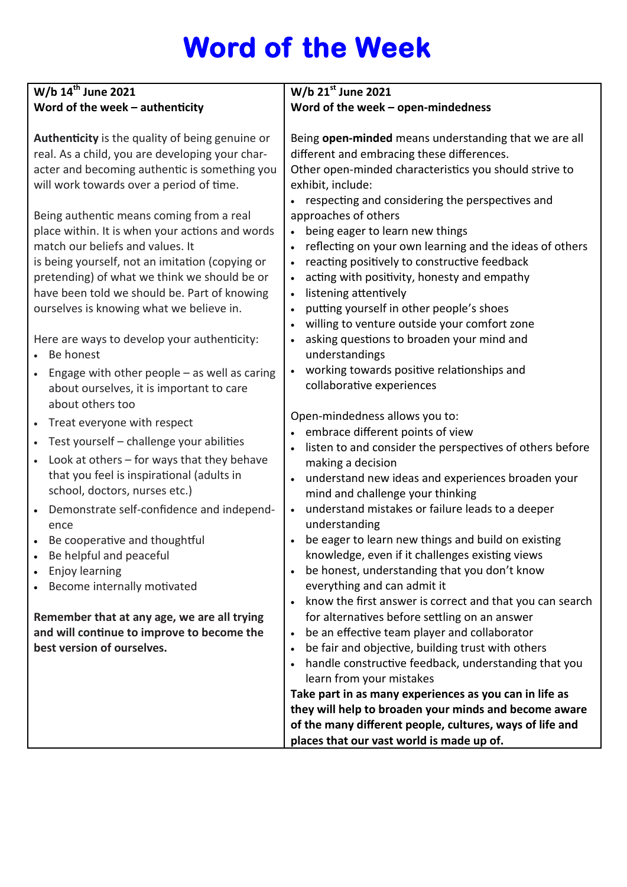# **Word of the Week**

| W/b $14^{th}$ June 2021                                                                                                                                                                                                                                                                                                        | W/b $21^{st}$ June 2021                                                                                                                                                                                                                                                                                                                                                                                              |
|--------------------------------------------------------------------------------------------------------------------------------------------------------------------------------------------------------------------------------------------------------------------------------------------------------------------------------|----------------------------------------------------------------------------------------------------------------------------------------------------------------------------------------------------------------------------------------------------------------------------------------------------------------------------------------------------------------------------------------------------------------------|
| Word of the week $-$ authenticity                                                                                                                                                                                                                                                                                              | Word of the week - open-mindedness                                                                                                                                                                                                                                                                                                                                                                                   |
| Authenticity is the quality of being genuine or<br>real. As a child, you are developing your char-<br>acter and becoming authentic is something you<br>will work towards over a period of time.                                                                                                                                | Being open-minded means understanding that we are all<br>different and embracing these differences.<br>Other open-minded characteristics you should strive to<br>exhibit, include:<br>respecting and considering the perspectives and                                                                                                                                                                                |
| Being authentic means coming from a real<br>place within. It is when your actions and words<br>match our beliefs and values. It<br>is being yourself, not an imitation (copying or<br>pretending) of what we think we should be or<br>have been told we should be. Part of knowing<br>ourselves is knowing what we believe in. | approaches of others<br>being eager to learn new things<br>$\bullet$<br>reflecting on your own learning and the ideas of others<br>$\bullet$<br>reacting positively to constructive feedback<br>$\bullet$<br>acting with positivity, honesty and empathy<br>listening attentively<br>$\bullet$<br>putting yourself in other people's shoes<br>$\bullet$<br>willing to venture outside your comfort zone<br>$\bullet$ |
| Here are ways to develop your authenticity:<br>Be honest                                                                                                                                                                                                                                                                       | asking questions to broaden your mind and<br>understandings                                                                                                                                                                                                                                                                                                                                                          |
| Engage with other people $-$ as well as caring<br>about ourselves, it is important to care<br>about others too                                                                                                                                                                                                                 | working towards positive relationships and<br>collaborative experiences                                                                                                                                                                                                                                                                                                                                              |
| Treat everyone with respect                                                                                                                                                                                                                                                                                                    | Open-mindedness allows you to:                                                                                                                                                                                                                                                                                                                                                                                       |
| Test yourself - challenge your abilities                                                                                                                                                                                                                                                                                       | embrace different points of view                                                                                                                                                                                                                                                                                                                                                                                     |
| Look at others $-$ for ways that they behave                                                                                                                                                                                                                                                                                   | listen to and consider the perspectives of others before                                                                                                                                                                                                                                                                                                                                                             |
| that you feel is inspirational (adults in                                                                                                                                                                                                                                                                                      | making a decision<br>understand new ideas and experiences broaden your                                                                                                                                                                                                                                                                                                                                               |
| school, doctors, nurses etc.)                                                                                                                                                                                                                                                                                                  | mind and challenge your thinking                                                                                                                                                                                                                                                                                                                                                                                     |
| Demonstrate self-confidence and independ-<br>ence                                                                                                                                                                                                                                                                              | understand mistakes or failure leads to a deeper<br>understanding                                                                                                                                                                                                                                                                                                                                                    |
| Be cooperative and thoughtful                                                                                                                                                                                                                                                                                                  | be eager to learn new things and build on existing                                                                                                                                                                                                                                                                                                                                                                   |
| Be helpful and peaceful                                                                                                                                                                                                                                                                                                        | knowledge, even if it challenges existing views                                                                                                                                                                                                                                                                                                                                                                      |
| Enjoy learning                                                                                                                                                                                                                                                                                                                 | be honest, understanding that you don't know<br>$\bullet$                                                                                                                                                                                                                                                                                                                                                            |
| Become internally motivated                                                                                                                                                                                                                                                                                                    | everything and can admit it                                                                                                                                                                                                                                                                                                                                                                                          |
|                                                                                                                                                                                                                                                                                                                                | know the first answer is correct and that you can search                                                                                                                                                                                                                                                                                                                                                             |
| Remember that at any age, we are all trying                                                                                                                                                                                                                                                                                    | for alternatives before settling on an answer                                                                                                                                                                                                                                                                                                                                                                        |
| and will continue to improve to become the                                                                                                                                                                                                                                                                                     | be an effective team player and collaborator<br>$\bullet$                                                                                                                                                                                                                                                                                                                                                            |
| best version of ourselves.                                                                                                                                                                                                                                                                                                     | be fair and objective, building trust with others<br>$\bullet$                                                                                                                                                                                                                                                                                                                                                       |
|                                                                                                                                                                                                                                                                                                                                | handle constructive feedback, understanding that you<br>learn from your mistakes                                                                                                                                                                                                                                                                                                                                     |
|                                                                                                                                                                                                                                                                                                                                | Take part in as many experiences as you can in life as                                                                                                                                                                                                                                                                                                                                                               |
|                                                                                                                                                                                                                                                                                                                                | they will help to broaden your minds and become aware                                                                                                                                                                                                                                                                                                                                                                |
|                                                                                                                                                                                                                                                                                                                                | of the many different people, cultures, ways of life and                                                                                                                                                                                                                                                                                                                                                             |
|                                                                                                                                                                                                                                                                                                                                | places that our vast world is made up of.                                                                                                                                                                                                                                                                                                                                                                            |